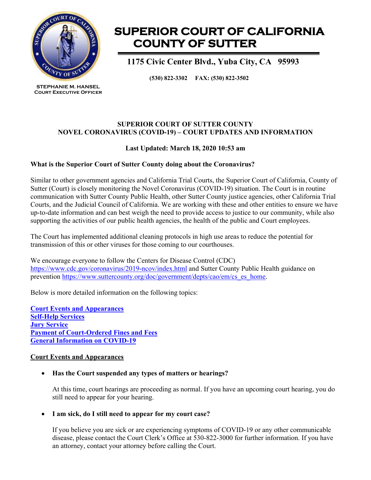

**STEPHANIE M. HANSEL Court Executive Officer**

# **SUPERIOR COURT OF CALIFORNIA COUNTY OF SUTTER**

 **1175 Civic Center Blvd., Yuba City, CA 95993**

**(530) 822-3302 FAX: (530) 822-3502**

## **SUPERIOR COURT OF SUTTER COUNTY NOVEL CORONAVIRUS (COVID-19) – COURT UPDATES AND INFORMATION**

# **Last Updated: March 18, 2020 10:53 am**

# **What is the Superior Court of Sutter County doing about the Coronavirus?**

Similar to other government agencies and California Trial Courts, the Superior Court of California, County of Sutter (Court) is closely monitoring the Novel Coronavirus (COVID-19) situation. The Court is in routine communication with Sutter County Public Health, other Sutter County justice agencies, other California Trial Courts, and the Judicial Council of California. We are working with these and other entities to ensure we have up-to-date information and can best weigh the need to provide access to justice to our community, while also supporting the activities of our public health agencies, the health of the public and Court employees.

The Court has implemented additional cleaning protocols in high use areas to reduce the potential for transmission of this or other viruses for those coming to our courthouses.

We encourage everyone to follow the Centers for Disease Control (CDC) <https://www.cdc.gov/coronavirus/2019-ncov/index.html> and Sutter County Public Health guidance on prevention [https://www.suttercounty.org/doc/government/depts/cao/em/cs\\_es\\_home.](https://www.suttercounty.org/doc/government/depts/cao/em/cs_es_home)

Below is more detailed information on the following topics:

**[Court Events and Appearances](#page-0-0) [Self-Help Services](#page-1-0) [Jury Service](#page-1-1) [Payment of Court-Ordered Fines and Fees](#page-1-2) [General Information on COVID-19](#page-2-0)**

## <span id="page-0-0"></span>**Court Events and Appearances**

# • **Has the Court suspended any types of matters or hearings?**

At this time, court hearings are proceeding as normal. If you have an upcoming court hearing, you do still need to appear for your hearing.

## • **I am sick, do I still need to appear for my court case?**

If you believe you are sick or are experiencing symptoms of COVID-19 or any other communicable disease, please contact the Court Clerk's Office at 530-822-3000 for further information. If you have an attorney, contact your attorney before calling the Court.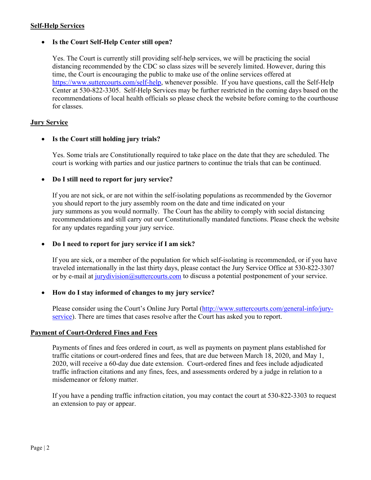#### <span id="page-1-0"></span>**Self-Help Services**

## • **Is the Court Self-Help Center still open?**

Yes. The Court is currently still providing self-help services, we will be practicing the social distancing recommended by the CDC so class sizes will be severely limited. However, during this time, the Court is encouraging the public to make use of the online services offered at [https://www.suttercourts.com/self-help,](https://www.suttercourts.com/self-help) whenever possible. If you have questions, call the Self-Help Center at 530-822-3305. Self-Help Services may be further restricted in the coming days based on the recommendations of local health officials so please check the website before coming to the courthouse for classes.

#### <span id="page-1-1"></span>**Jury Service**

## • **Is the Court still holding jury trials?**

Yes. Some trials are Constitutionally required to take place on the date that they are scheduled. The court is working with parties and our justice partners to continue the trials that can be continued.

#### • **Do I still need to report for jury service?**

If you are not sick, or are not within the self-isolating populations as recommended by the Governor you should report to the jury assembly room on the date and time indicated on your jury summons as you would normally. The Court has the ability to comply with social distancing recommendations and still carry out our Constitutionally mandated functions. Please check the website for any updates regarding your jury service.

## • **Do I need to report for jury service if I am sick?**

If you are sick, or a member of the population for which self-isolating is recommended, or if you have traveled internationally in the last thirty days, please contact the Jury Service Office at 530-822-3307 or by e-mail at [jurydivision@suttercourts.com](mailto:jurydivision@suttercourts.com) to discuss a potential postponement of your service.

#### • **How do I stay informed of changes to my jury service?**

Please consider using the Court's Online Jury Portal [\(http://www.suttercourts.com/general-info/jury](http://www.suttercourts.com/general-info/jury-service)[service\)](http://www.suttercourts.com/general-info/jury-service). There are times that cases resolve after the Court has asked you to report.

#### <span id="page-1-2"></span>**Payment of Court-Ordered Fines and Fees**

Payments of fines and fees ordered in court, as well as payments on payment plans established for traffic citations or court-ordered fines and fees, that are due between March 18, 2020, and May 1, 2020, will receive a 60-day due date extension. Court-ordered fines and fees include adjudicated traffic infraction citations and any fines, fees, and assessments ordered by a judge in relation to a misdemeanor or felony matter.

If you have a pending traffic infraction citation, you may contact the court at 530-822-3303 to request an extension to pay or appear.